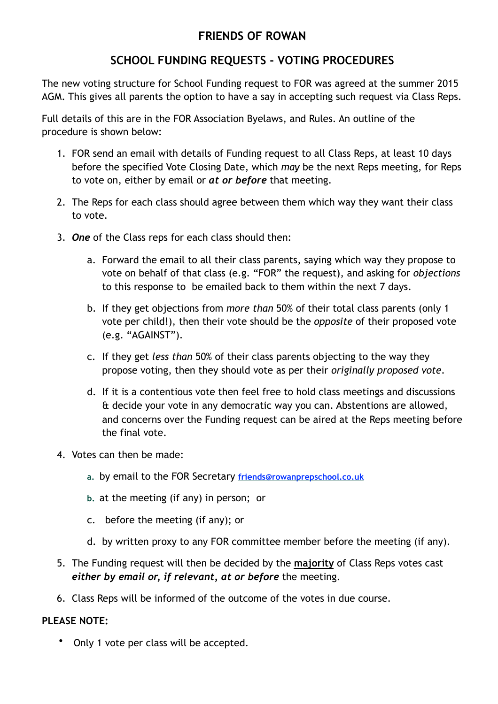## **FRIENDS OF ROWAN**

## **SCHOOL FUNDING REQUESTS - VOTING PROCEDURES**

The new voting structure for School Funding request to FOR was agreed at the summer 2015 AGM. This gives all parents the option to have a say in accepting such request via Class Reps.

Full details of this are in the FOR Association Byelaws, and Rules. An outline of the procedure is shown below:

- 1. FOR send an email with details of Funding request to all Class Reps, at least 10 days before the specified Vote Closing Date, which *may* be the next Reps meeting, for Reps to vote on, either by email or *at or before* that meeting.
- 2. The Reps for each class should agree between them which way they want their class to vote.
- 3. *One* of the Class reps for each class should then:
	- a. Forward the email to all their class parents, saying which way they propose to vote on behalf of that class (e.g. "FOR" the request), and asking for *objections* to this response to be emailed back to them within the next 7 days.
	- b. If they get objections from *more than* 50% of their total class parents (only 1 vote per child!), then their vote should be the *opposite* of their proposed vote (e.g. "AGAINST").
	- c. If they get *less than* 50% of their class parents objecting to the way they propose voting, then they should vote as per their *originally proposed vote*.
	- d. If it is a contentious vote then feel free to hold class meetings and discussions & decide your vote in any democratic way you can. Abstentions are allowed, and concerns over the Funding request can be aired at the Reps meeting before the final vote.
- 4. Votes can then be made:
	- **a.** by email to the FOR Secretary **friends@rowanprepschool.co.uk**
	- **b.** at the meeting (if any) in person; or
	- c. before the meeting (if any); or
	- d. by written proxy to any FOR committee member before the meeting (if any).
- 5. The Funding request will then be decided by the **majority** of Class Reps votes cast *either by email or, if relevant, at or before* the meeting.
- 6. Class Reps will be informed of the outcome of the votes in due course.

## **PLEASE NOTE:**

• Only 1 vote per class will be accepted.